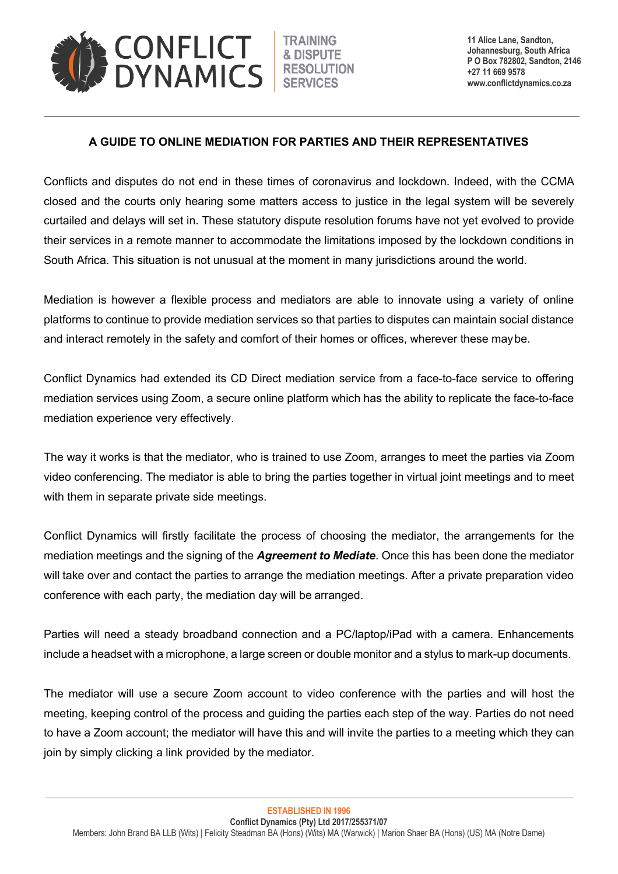

**11 Alice Lane, Sandton, Johannesburg, South Africa P O Box 782802, Sandton, 2146 +27 11 669 9578 www.conflictdynamics.co.za**

## **A GUIDE TO ONLINE MEDIATION FOR PARTIES AND THEIR REPRESENTATIVES**

Conflicts and disputes do not end in these times of coronavirus and lockdown. Indeed, with the CCMA closed and the courts only hearing some matters access to justice in the legal system will be severely curtailed and delays will set in. These statutory dispute resolution forums have not yet evolved to provide their services in a remote manner to accommodate the limitations imposed by the lockdown conditions in South Africa. This situation is not unusual at the moment in many jurisdictions around the world.

Mediation is however a flexible process and mediators are able to innovate using a variety of online platforms to continue to provide mediation services so that parties to disputes can maintain social distance and interact remotely in the safety and comfort of their homes or offices, wherever these maybe.

Conflict Dynamics had extended its CD Direct mediation service from a face-to-face service to offering mediation services using Zoom, a secure online platform which has the ability to replicate the face-to-face mediation experience very effectively.

The way it works is that the mediator, who is trained to use Zoom, arranges to meet the parties via Zoom video conferencing. The mediator is able to bring the parties together in virtual joint meetings and to meet with them in separate private side meetings.

Conflict Dynamics will firstly facilitate the process of choosing the mediator, the arrangements for the mediation meetings and the signing of the *Agreement to Mediate*. Once this has been done the mediator will take over and contact the parties to arrange the mediation meetings. After a private preparation video conference with each party, the mediation day will be arranged.

Parties will need a steady broadband connection and a PC/laptop/iPad with a camera. Enhancements include a headset with a microphone, a large screen or double monitor and a stylus to mark-up documents.

The mediator will use a secure Zoom account to video conference with the parties and will host the meeting, keeping control of the process and guiding the parties each step of the way. Parties do not need to have a Zoom account; the mediator will have this and will invite the parties to a meeting which they can join by simply clicking a link provided by the mediator.